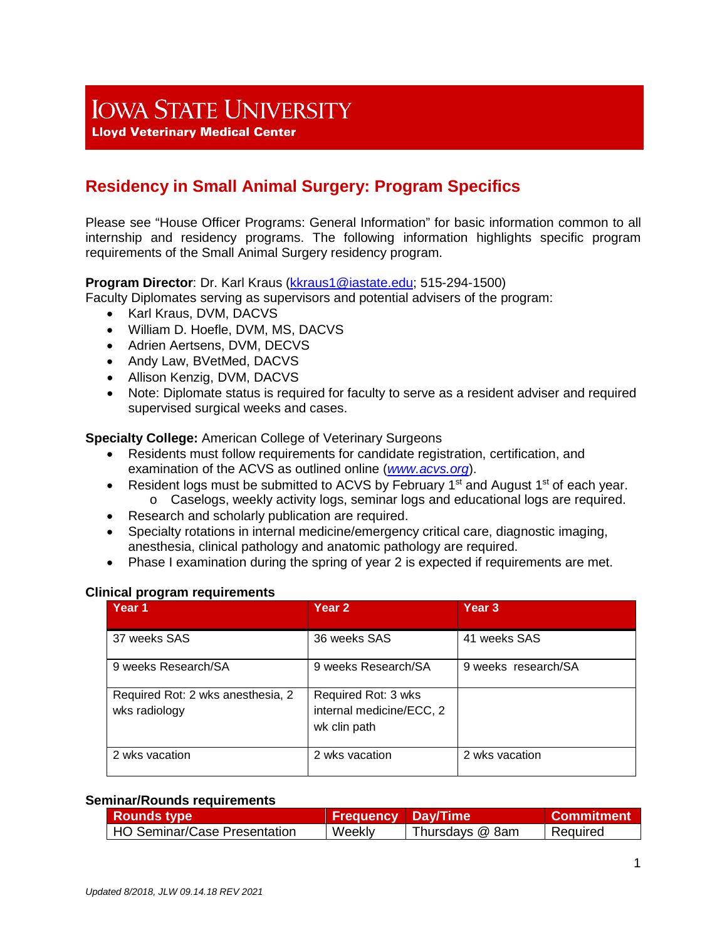# **IOWA STATE UNIVERSITY**

**Lloyd Veterinary Medical Center** 

# **Residency in Small Animal Surgery: Program Specifics**

Please see "House Officer Programs: General Information" for basic information common to all internship and residency programs. The following information highlights specific program requirements of the Small Animal Surgery residency program.

## **Program Director**: Dr. Karl Kraus [\(kkraus1@iastate.edu;](mailto:kkraus1@iastate.edu) 515-294-1500)

Faculty Diplomates serving as supervisors and potential advisers of the program:

- Karl Kraus, DVM, DACVS
- William D. Hoefle, DVM, MS, DACVS
- Adrien Aertsens, DVM, DECVS
- Andy Law, BVetMed, DACVS
- Allison Kenzig, DVM, DACVS
- Note: Diplomate status is required for faculty to serve as a resident adviser and required supervised surgical weeks and cases.

**Specialty College:** American College of Veterinary Surgeons

- Residents must follow requirements for candidate registration, certification, and examination of the ACVS as outlined online (*www.acvs.org*).
- Resident logs must be submitted to ACVS by February 1<sup>st</sup> and August 1<sup>st</sup> of each year.  $\circ$  Caselogs, weekly activity logs, seminar logs and educational logs are required.
- Research and scholarly publication are required.
- Specialty rotations in internal medicine/emergency critical care, diagnostic imaging, anesthesia, clinical pathology and anatomic pathology are required.
- Phase I examination during the spring of year 2 is expected if requirements are met.

#### **Clinical program requirements**

| Year 1                                             | Year 2                                                          | Year <sub>3</sub>   |
|----------------------------------------------------|-----------------------------------------------------------------|---------------------|
| 37 weeks SAS                                       | 36 weeks SAS                                                    | 41 weeks SAS        |
| 9 weeks Research/SA                                | 9 weeks Research/SA                                             | 9 weeks research/SA |
| Required Rot: 2 wks anesthesia, 2<br>wks radiology | Required Rot: 3 wks<br>internal medicine/ECC, 2<br>wk clin path |                     |
| 2 wks vacation                                     | 2 wks vacation                                                  | 2 wks vacation      |

#### **Seminar/Rounds requirements**

| <b>Rounds type</b>           | <b>Frequency Day/Time</b> |                 | <b>Commitment</b> |
|------------------------------|---------------------------|-----------------|-------------------|
| HO Seminar/Case Presentation | Weekly                    | Thursdays @ 8am | Required          |